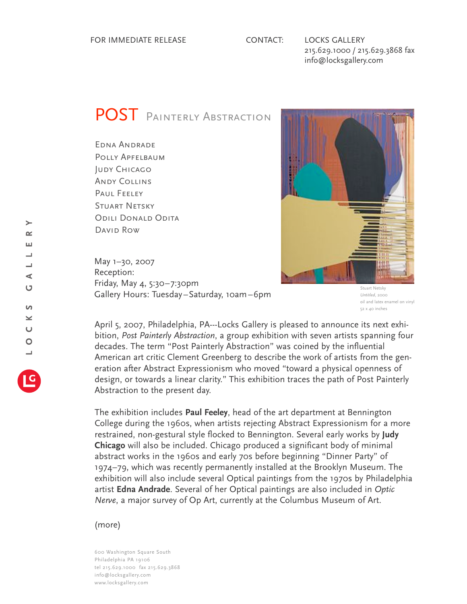215.629.1000 / 215.629.3868 fax info@locksgallery.com

## POST PAINTERLY ABSTRACTION

Edna Andrade Polly Apfelbaum **JUDY CHICAGO** Andy Collins Paul Feeley Stuart Netsky Odili Donald Odita David Row

May 1–30, 2007 Reception: Friday, May 4, 5:30–7:30pm Gallery Hours: Tuesday–Saturday, 10am–6pm

Stuart Netsky *Untitled*, 2000 oil and latex enamel on vinyl 52 x 40 inches

April 5, 2007, Philadelphia, PA---Locks Gallery is pleased to announce its next exhibition, *Post Painterly Abstraction*, a group exhibition with seven artists spanning four decades. The term "Post Painterly Abstraction" was coined by the influential American art critic Clement Greenberg to describe the work of artists from the generation after Abstract Expressionism who moved "toward a physical openness of design, or towards a linear clarity." This exhibition traces the path of Post Painterly Abstraction to the present day.

The exhibition includes **Paul Feeley**, head of the art department at Bennington College during the 1960s, when artists rejecting Abstract Expressionism for a more restrained, non-gestural style flocked to Bennington. Several early works by **Judy Chicago** will also be included. Chicago produced a significant body of minimal abstract works in the 1960s and early 70s before beginning "Dinner Party" of 1974–79, which was recently permanently installed at the Brooklyn Museum. The exhibition will also include several Optical paintings from the 1970s by Philadelphia artist **Edna Andrade**. Several of her Optical paintings are also included in *Optic Nerve*, a major survey of Op Art, currently at the Columbus Museum of Art.

## (more)

600 Washington Square South Philadelphia PA 19106 tel 215.629.1000 fax 215.629.3868 info@locksgallery.com www.locksgallery.com